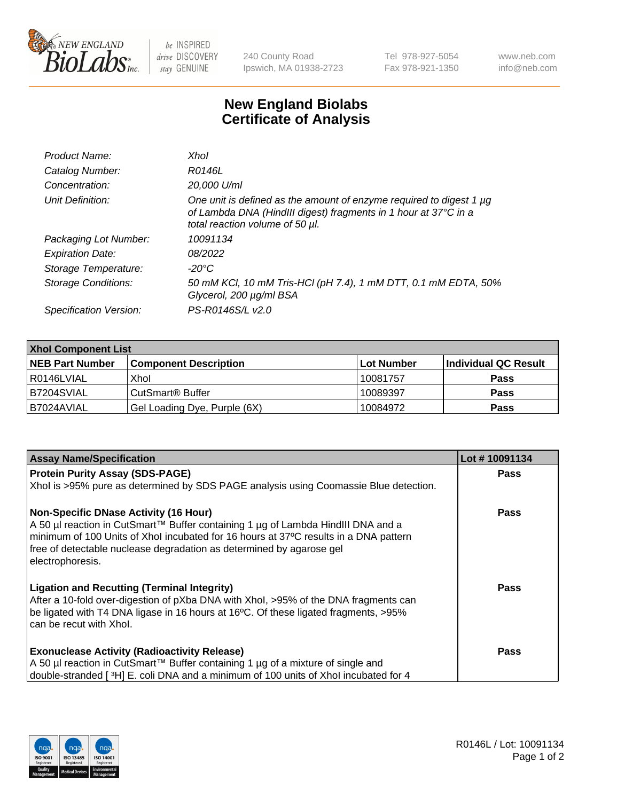

 $be$  INSPIRED drive DISCOVERY stay GENUINE

240 County Road Ipswich, MA 01938-2723 Tel 978-927-5054 Fax 978-921-1350 www.neb.com info@neb.com

## **New England Biolabs Certificate of Analysis**

| Product Name:              | Xhol                                                                                                                                                                      |
|----------------------------|---------------------------------------------------------------------------------------------------------------------------------------------------------------------------|
| Catalog Number:            | R0146L                                                                                                                                                                    |
| Concentration:             | 20,000 U/ml                                                                                                                                                               |
| Unit Definition:           | One unit is defined as the amount of enzyme required to digest 1 µg<br>of Lambda DNA (HindIII digest) fragments in 1 hour at 37°C in a<br>total reaction volume of 50 µl. |
| Packaging Lot Number:      | 10091134                                                                                                                                                                  |
| <b>Expiration Date:</b>    | 08/2022                                                                                                                                                                   |
| Storage Temperature:       | -20°C                                                                                                                                                                     |
| <b>Storage Conditions:</b> | 50 mM KCl, 10 mM Tris-HCl (pH 7.4), 1 mM DTT, 0.1 mM EDTA, 50%<br>Glycerol, 200 µg/ml BSA                                                                                 |
| Specification Version:     | PS-R0146S/L v2.0                                                                                                                                                          |

| <b>Xhol Component List</b> |                              |              |                      |  |  |
|----------------------------|------------------------------|--------------|----------------------|--|--|
| <b>NEB Part Number</b>     | <b>Component Description</b> | l Lot Number | Individual QC Result |  |  |
| I R0146LVIAL               | Xhol                         | 10081757     | <b>Pass</b>          |  |  |
| IB7204SVIAL                | l CutSmart® Buffer           | 10089397     | <b>Pass</b>          |  |  |
| B7024AVIAL                 | Gel Loading Dye, Purple (6X) | 10084972     | <b>Pass</b>          |  |  |

| <b>Assay Name/Specification</b>                                                                                                                                                                                                                                                                                      | Lot #10091134 |
|----------------------------------------------------------------------------------------------------------------------------------------------------------------------------------------------------------------------------------------------------------------------------------------------------------------------|---------------|
| <b>Protein Purity Assay (SDS-PAGE)</b>                                                                                                                                                                                                                                                                               | <b>Pass</b>   |
| Xhol is >95% pure as determined by SDS PAGE analysis using Coomassie Blue detection.                                                                                                                                                                                                                                 |               |
| <b>Non-Specific DNase Activity (16 Hour)</b><br>A 50 µl reaction in CutSmart™ Buffer containing 1 µg of Lambda HindIII DNA and a<br>minimum of 100 Units of Xhol incubated for 16 hours at 37°C results in a DNA pattern<br>free of detectable nuclease degradation as determined by agarose gel<br>electrophoresis. | Pass          |
| <b>Ligation and Recutting (Terminal Integrity)</b><br>After a 10-fold over-digestion of pXba DNA with Xhol, >95% of the DNA fragments can<br>be ligated with T4 DNA ligase in 16 hours at 16°C. Of these ligated fragments, >95%<br>can be recut with Xhol.                                                          | Pass          |
| <b>Exonuclease Activity (Radioactivity Release)</b><br>A 50 µl reaction in CutSmart™ Buffer containing 1 µg of a mixture of single and<br>double-stranded [3H] E. coli DNA and a minimum of 100 units of Xhol incubated for 4                                                                                        | Pass          |